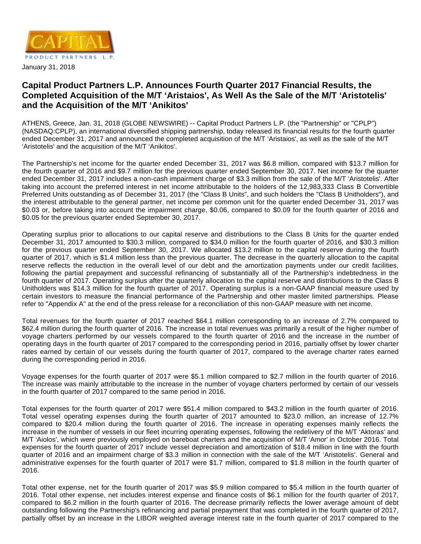

# **Capital Product Partners L.P. Announces Fourth Quarter 2017 Financial Results, the Completed Acquisition of the M/T 'Aristaios', As Well As the Sale of the M/T 'Aristotelis' and the Acquisition of the M/T 'Anikitos'**

ATHENS, Greece, Jan. 31, 2018 (GLOBE NEWSWIRE) -- Capital Product Partners L.P. (the "Partnership" or "CPLP") (NASDAQ:CPLP), an international diversified shipping partnership, today released its financial results for the fourth quarter ended December 31, 2017 and announced the completed acquisition of the M/T 'Aristaios', as well as the sale of the M/T 'Aristotelis' and the acquisition of the M/T 'Anikitos'.

The Partnership's net income for the quarter ended December 31, 2017 was \$6.8 million, compared with \$13.7 million for the fourth quarter of 2016 and \$9.7 million for the previous quarter ended September 30, 2017. Net income for the quarter ended December 31, 2017 includes a non-cash impairment charge of \$3.3 million from the sale of the M/T 'Aristotelis'. After taking into account the preferred interest in net income attributable to the holders of the 12,983,333 Class B Convertible Preferred Units outstanding as of December 31, 2017 (the "Class B Units", and such holders the "Class B Unitholders"), and the interest attributable to the general partner, net income per common unit for the quarter ended December 31, 2017 was \$0.03 or, before taking into account the impairment charge, \$0.06, compared to \$0.09 for the fourth quarter of 2016 and \$0.05 for the previous quarter ended September 30, 2017.

Operating surplus prior to allocations to our capital reserve and distributions to the Class B Units for the quarter ended December 31, 2017 amounted to \$30.3 million, compared to \$34.0 million for the fourth quarter of 2016, and \$30.3 million for the previous quarter ended September 30, 2017. We allocated \$13.2 million to the capital reserve during the fourth quarter of 2017, which is \$1.4 million less than the previous quarter. The decrease in the quarterly allocation to the capital reserve reflects the reduction in the overall level of our debt and the amortization payments under our credit facilities, following the partial prepayment and successful refinancing of substantially all of the Partnership's indebtedness in the fourth quarter of 2017. Operating surplus after the quarterly allocation to the capital reserve and distributions to the Class B Unitholders was \$14.3 million for the fourth quarter of 2017. Operating surplus is a non-GAAP financial measure used by certain investors to measure the financial performance of the Partnership and other master limited partnerships. Please refer to "Appendix A" at the end of the press release for a reconciliation of this non-GAAP measure with net income.

Total revenues for the fourth quarter of 2017 reached \$64.1 million corresponding to an increase of 2.7% compared to \$62.4 million during the fourth quarter of 2016. The increase in total revenues was primarily a result of the higher number of voyage charters performed by our vessels compared to the fourth quarter of 2016 and the increase in the number of operating days in the fourth quarter of 2017 compared to the corresponding period in 2016, partially offset by lower charter rates earned by certain of our vessels during the fourth quarter of 2017, compared to the average charter rates earned during the corresponding period in 2016.

Voyage expenses for the fourth quarter of 2017 were \$5.1 million compared to \$2.7 million in the fourth quarter of 2016. The increase was mainly attributable to the increase in the number of voyage charters performed by certain of our vessels in the fourth quarter of 2017 compared to the same period in 2016.

Total expenses for the fourth quarter of 2017 were \$51.4 million compared to \$43.2 million in the fourth quarter of 2016. Total vessel operating expenses during the fourth quarter of 2017 amounted to \$23.0 million, an increase of 12.7% compared to \$20.4 million during the fourth quarter of 2016. The increase in operating expenses mainly reflects the increase in the number of vessels in our fleet incurring operating expenses, following the redelivery of the M/T 'Aktoras' and M/T 'Aiolos', which were previously employed on bareboat charters and the acquisition of M/T 'Amor' in October 2016. Total expenses for the fourth quarter of 2017 include vessel depreciation and amortization of \$18.4 million in line with the fourth quarter of 2016 and an impairment charge of \$3.3 million in connection with the sale of the M/T 'Aristotelis'. General and administrative expenses for the fourth quarter of 2017 were \$1.7 million, compared to \$1.8 million in the fourth quarter of 2016.

Total other expense, net for the fourth quarter of 2017 was \$5.9 million compared to \$5.4 million in the fourth quarter of 2016. Total other expense, net includes interest expense and finance costs of \$6.1 million for the fourth quarter of 2017, compared to \$6.2 million in the fourth quarter of 2016. The decrease primarily reflects the lower average amount of debt outstanding following the Partnership's refinancing and partial prepayment that was completed in the fourth quarter of 2017, partially offset by an increase in the LIBOR weighted average interest rate in the fourth quarter of 2017 compared to the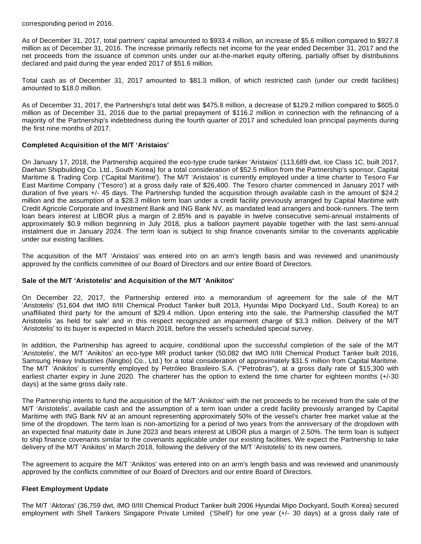corresponding period in 2016.

As of December 31, 2017, total partners' capital amounted to \$933.4 million, an increase of \$5.6 million compared to \$927.8 million as of December 31, 2016. The increase primarily reflects net income for the year ended December 31, 2017 and the net proceeds from the issuance of common units under our at-the-market equity offering, partially offset by distributions declared and paid during the year ended 2017 of \$51.6 million.

Total cash as of December 31, 2017 amounted to \$81.3 million, of which restricted cash (under our credit facilities) amounted to \$18.0 million.

As of December 31, 2017, the Partnership's total debt was \$475.8 million, a decrease of \$129.2 million compared to \$605.0 million as of December 31, 2016 due to the partial prepayment of \$116.2 million in connection with the refinancing of a majority of the Partnership's indebtedness during the fourth quarter of 2017 and scheduled loan principal payments during the first nine months of 2017.

## **Completed Acquisition of the M/T 'Aristaios'**

On January 17, 2018, the Partnership acquired the eco-type crude tanker 'Aristaios' (113,689 dwt, Ice Class 1C, built 2017, Daehan Shipbuilding Co. Ltd., South Korea) for a total consideration of \$52.5 million from the Partnership's sponsor, Capital Maritime & Trading Corp. ('Capital Maritime'). The M/T 'Aristaios' is currently employed under a time charter to Tesoro Far East Maritime Company ('Tesoro') at a gross daily rate of \$26,400. The Tesoro charter commenced in January 2017 with duration of five years +/- 45 days. The Partnership funded the acquisition through available cash in the amount of \$24.2 million and the assumption of a \$28.3 million term loan under a credit facility previously arranged by Capital Maritime with Credit Agricole Corporate and Investment Bank and ING Bank NV, as mandated lead arrangers and book-runners. The term loan bears interest at LIBOR plus a margin of 2.85% and is payable in twelve consecutive semi-annual instalments of approximately \$0.9 million beginning in July 2018, plus a balloon payment payable together with the last semi-annual instalment due in January 2024. The term loan is subject to ship finance covenants similar to the covenants applicable under our existing facilities.

The acquisition of the M/T 'Aristaios' was entered into on an arm's length basis and was reviewed and unanimously approved by the conflicts committee of our Board of Directors and our entire Board of Directors.

## **Sale of the M/T 'Aristotelis' and Acquisition of the M/T 'Anikitos'**

On December 22, 2017, the Partnership entered into a memorandum of agreement for the sale of the M/T 'Aristotelis' (51,604 dwt IMO II/III Chemical Product Tanker built 2013, Hyundai Mipo Dockyard Ltd., South Korea) to an unaffiliated third party for the amount of \$29.4 million. Upon entering into the sale, the Partnership classified the M/T Aristotelis 'as held for sale' and in this respect recognized an impairment charge of \$3.3 million. Delivery of the M/T 'Aristotelis' to its buyer is expected in March 2018, before the vessel's scheduled special survey.

In addition, the Partnership has agreed to acquire, conditional upon the successful completion of the sale of the M/T 'Aristotelis', the M/T 'Anikitos' an eco-type MR product tanker (50,082 dwt IMO II/III Chemical Product Tanker built 2016, Samsung Heavy Industries (Ningbo) Co., Ltd.) for a total consideration of approximately \$31.5 million from Capital Maritime. The M/T 'Anikitos' is currently employed by Petróleo Brasileiro S.A. ("Petrobras"), at a gross daily rate of \$15,300 with earliest charter expiry in June 2020. The charterer has the option to extend the time charter for eighteen months (+/-30 days) at the same gross daily rate.

The Partnership intents to fund the acquisition of the M/T 'Anikitos' with the net proceeds to be received from the sale of the M/T 'Aristotelis', available cash and the assumption of a term loan under a credit facility previously arranged by Capital Maritime with ING Bank NV at an amount representing approximately 50% of the vessel's charter free market value at the time of the dropdown. The term loan is non-amortizing for a period of two years from the anniversary of the dropdown with an expected final maturity date in June 2023 and bears interest at LIBOR plus a margin of 2.50%. The term loan is subject to ship finance covenants similar to the covenants applicable under our existing facilities. We expect the Partnership to take delivery of the M/T 'Anikitos' in March 2018, following the delivery of the M/T 'Aristotelis' to its new owners.

The agreement to acquire the M/T 'Anikitos' was entered into on an arm's length basis and was reviewed and unanimously approved by the conflicts committee of our Board of Directors and our entire Board of Directors.

## **Fleet Employment Update**

The M/T 'Aktoras' (36,759 dwt, IMO II/III Chemical Product Tanker built 2006 Hyundai Mipo Dockyard, South Korea) secured employment with Shell Tankers Singapore Private Limited ('Shell') for one year (+/- 30 days) at a gross daily rate of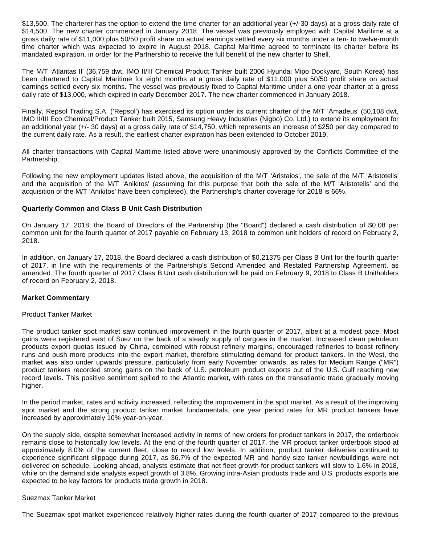\$13,500. The charterer has the option to extend the time charter for an additional year (+/-30 days) at a gross daily rate of \$14,500. The new charter commenced in January 2018. The vessel was previously employed with Capital Maritime at a gross daily rate of \$11,000 plus 50/50 profit share on actual earnings settled every six months under a ten- to twelve-month time charter which was expected to expire in August 2018. Capital Maritime agreed to terminate its charter before its mandated expiration, in order for the Partnership to receive the full benefit of the new charter to Shell.

The M/T 'Atlantas II' (36,759 dwt, IMO II/III Chemical Product Tanker built 2006 Hyundai Mipo Dockyard, South Korea) has been chartered to Capital Maritime for eight months at a gross daily rate of \$11,000 plus 50/50 profit share on actual earnings settled every six months. The vessel was previously fixed to Capital Maritime under a one-year charter at a gross daily rate of \$13,000, which expired in early December 2017. The new charter commenced in January 2018.

Finally, Repsol Trading S.A. ('Repsol') has exercised its option under its current charter of the M/T 'Amadeus' (50,108 dwt, IMO II/III Eco Chemical/Product Tanker built 2015, Samsung Heavy Industries (Nigbo) Co. Ltd.) to extend its employment for an additional year (+/- 30 days) at a gross daily rate of \$14,750, which represents an increase of \$250 per day compared to the current daily rate. As a result, the earliest charter expiration has been extended to October 2019.

All charter transactions with Capital Maritime listed above were unanimously approved by the Conflicts Committee of the Partnership.

Following the new employment updates listed above, the acquisition of the M/T 'Aristaios', the sale of the M/T 'Aristotelis' and the acquisition of the M/T 'Anikitos' (assuming for this purpose that both the sale of the M/T 'Aristotelis' and the acquisition of the M/T 'Anikitos' have been completed), the Partnership's charter coverage for 2018 is 66%.

## **Quarterly Common and Class B Unit Cash Distribution**

On January 17, 2018, the Board of Directors of the Partnership (the "Board") declared a cash distribution of \$0.08 per common unit for the fourth quarter of 2017 payable on February 13, 2018 to common unit holders of record on February 2, 2018.

In addition, on January 17, 2018, the Board declared a cash distribution of \$0.21375 per Class B Unit for the fourth quarter of 2017, in line with the requirements of the Partnership's Second Amended and Restated Partnership Agreement, as amended. The fourth quarter of 2017 Class B Unit cash distribution will be paid on February 9, 2018 to Class B Unitholders of record on February 2, 2018.

#### **Market Commentary**

#### Product Tanker Market

The product tanker spot market saw continued improvement in the fourth quarter of 2017, albeit at a modest pace. Most gains were registered east of Suez on the back of a steady supply of cargoes in the market. Increased clean petroleum products export quotas issued by China, combined with robust refinery margins, encouraged refineries to boost refinery runs and push more products into the export market, therefore stimulating demand for product tankers. In the West, the market was also under upwards pressure, particularly from early November onwards, as rates for Medium Range ("MR") product tankers recorded strong gains on the back of U.S. petroleum product exports out of the U.S. Gulf reaching new record levels. This positive sentiment spilled to the Atlantic market, with rates on the transatlantic trade gradually moving higher.

In the period market, rates and activity increased, reflecting the improvement in the spot market. As a result of the improving spot market and the strong product tanker market fundamentals, one year period rates for MR product tankers have increased by approximately 10% year-on-year.

On the supply side, despite somewhat increased activity in terms of new orders for product tankers in 2017, the orderbook remains close to historically low levels. At the end of the fourth quarter of 2017, the MR product tanker orderbook stood at approximately 8.0% of the current fleet, close to record low levels. In addition, product tanker deliveries continued to experience significant slippage during 2017, as 36.7% of the expected MR and handy size tanker newbuildings were not delivered on schedule. Looking ahead, analysts estimate that net fleet growth for product tankers will slow to 1.6% in 2018, while on the demand side analysts expect growth of 3.8%. Growing intra-Asian products trade and U.S. products exports are expected to be key factors for products trade growth in 2018.

### Suezmax Tanker Market

The Suezmax spot market experienced relatively higher rates during the fourth quarter of 2017 compared to the previous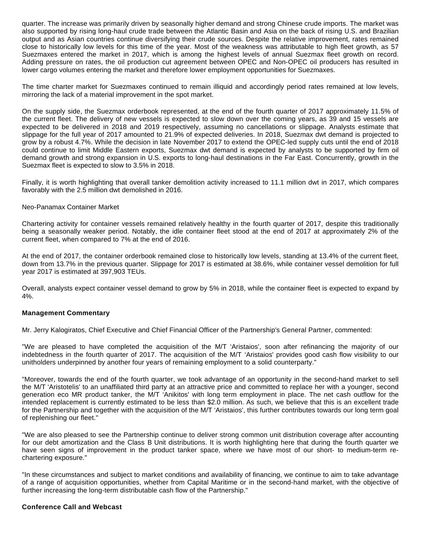quarter. The increase was primarily driven by seasonally higher demand and strong Chinese crude imports. The market was also supported by rising long-haul crude trade between the Atlantic Basin and Asia on the back of rising U.S. and Brazilian output and as Asian countries continue diversifying their crude sources. Despite the relative improvement, rates remained close to historically low levels for this time of the year. Most of the weakness was attributable to high fleet growth, as 57 Suezmaxes entered the market in 2017, which is among the highest levels of annual Suezmax fleet growth on record. Adding pressure on rates, the oil production cut agreement between OPEC and Non-OPEC oil producers has resulted in lower cargo volumes entering the market and therefore lower employment opportunities for Suezmaxes.

The time charter market for Suezmaxes continued to remain illiquid and accordingly period rates remained at low levels, mirroring the lack of a material improvement in the spot market.

On the supply side, the Suezmax orderbook represented, at the end of the fourth quarter of 2017 approximately 11.5% of the current fleet. The delivery of new vessels is expected to slow down over the coming years, as 39 and 15 vessels are expected to be delivered in 2018 and 2019 respectively, assuming no cancellations or slippage. Analysts estimate that slippage for the full year of 2017 amounted to 21.9% of expected deliveries. In 2018, Suezmax dwt demand is projected to grow by a robust 4.7%. While the decision in late November 2017 to extend the OPEC-led supply cuts until the end of 2018 could continue to limit Middle Eastern exports, Suezmax dwt demand is expected by analysts to be supported by firm oil demand growth and strong expansion in U.S. exports to long-haul destinations in the Far East. Concurrently, growth in the Suezmax fleet is expected to slow to 3.5% in 2018.

Finally, it is worth highlighting that overall tanker demolition activity increased to 11.1 million dwt in 2017, which compares favorably with the 2.5 million dwt demolished in 2016.

#### Neo-Panamax Container Market

Chartering activity for container vessels remained relatively healthy in the fourth quarter of 2017, despite this traditionally being a seasonally weaker period. Notably, the idle container fleet stood at the end of 2017 at approximately 2% of the current fleet, when compared to 7% at the end of 2016.

At the end of 2017, the container orderbook remained close to historically low levels, standing at 13.4% of the current fleet, down from 13.7% in the previous quarter. Slippage for 2017 is estimated at 38.6%, while container vessel demolition for full year 2017 is estimated at 397,903 TEUs.

Overall, analysts expect container vessel demand to grow by 5% in 2018, while the container fleet is expected to expand by 4%.

#### **Management Commentary**

Mr. Jerry Kalogiratos, Chief Executive and Chief Financial Officer of the Partnership's General Partner, commented:

"We are pleased to have completed the acquisition of the M/T 'Aristaios', soon after refinancing the majority of our indebtedness in the fourth quarter of 2017. The acquisition of the M/T 'Aristaios' provides good cash flow visibility to our unitholders underpinned by another four years of remaining employment to a solid counterparty."

"Moreover, towards the end of the fourth quarter, we took advantage of an opportunity in the second-hand market to sell the M/T 'Aristotelis' to an unaffiliated third party at an attractive price and committed to replace her with a younger, second generation eco MR product tanker, the M/T 'Anikitos' with long term employment in place. The net cash outflow for the intended replacement is currently estimated to be less than \$2.0 million. As such, we believe that this is an excellent trade for the Partnership and together with the acquisition of the M/T 'Aristaios', this further contributes towards our long term goal of replenishing our fleet."

"We are also pleased to see the Partnership continue to deliver strong common unit distribution coverage after accounting for our debt amortization and the Class B Unit distributions. It is worth highlighting here that during the fourth quarter we have seen signs of improvement in the product tanker space, where we have most of our short- to medium-term rechartering exposure."

"In these circumstances and subject to market conditions and availability of financing, we continue to aim to take advantage of a range of acquisition opportunities, whether from Capital Maritime or in the second-hand market, with the objective of further increasing the long-term distributable cash flow of the Partnership."

## **Conference Call and Webcast**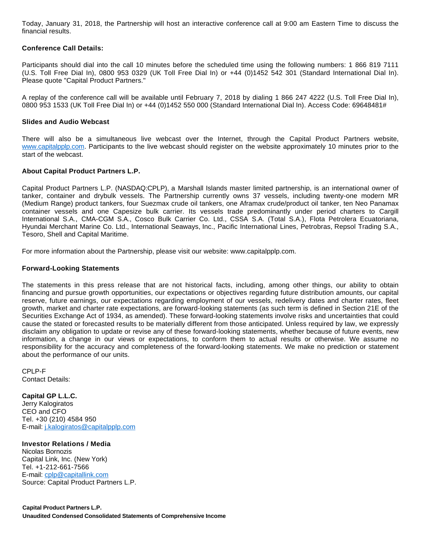Today, January 31, 2018, the Partnership will host an interactive conference call at 9:00 am Eastern Time to discuss the financial results.

### **Conference Call Details:**

Participants should dial into the call 10 minutes before the scheduled time using the following numbers: 1 866 819 7111 (U.S. Toll Free Dial In), 0800 953 0329 (UK Toll Free Dial In) or +44 (0)1452 542 301 (Standard International Dial In). Please quote "Capital Product Partners."

A replay of the conference call will be available until February 7, 2018 by dialing 1 866 247 4222 (U.S. Toll Free Dial In), 0800 953 1533 (UK Toll Free Dial In) or +44 (0)1452 550 000 (Standard International Dial In). Access Code: 69648481#

#### **Slides and Audio Webcast**

There will also be a simultaneous live webcast over the Internet, through the Capital Product Partners website, [www.capitalpplp.com.](http://www.capitalpplp.com/) Participants to the live webcast should register on the website approximately 10 minutes prior to the start of the webcast.

### **About Capital Product Partners L.P.**

Capital Product Partners L.P. (NASDAQ:CPLP), a Marshall Islands master limited partnership, is an international owner of tanker, container and drybulk vessels. The Partnership currently owns 37 vessels, including twenty-one modern MR (Medium Range) product tankers, four Suezmax crude oil tankers, one Aframax crude/product oil tanker, ten Neo Panamax container vessels and one Capesize bulk carrier. Its vessels trade predominantly under period charters to Cargill International S.A., CMA-CGM S.A., Cosco Bulk Carrier Co. Ltd., CSSA S.A. (Total S.A.), Flota Petrolera Ecuatoriana, Hyundai Merchant Marine Co. Ltd., International Seaways, Inc., Pacific International Lines, Petrobras, Repsol Trading S.A., Tesoro, Shell and Capital Maritime.

For more information about the Partnership, please visit our website: www.capitalpplp.com.

## **Forward-Looking Statements**

The statements in this press release that are not historical facts, including, among other things, our ability to obtain financing and pursue growth opportunities, our expectations or objectives regarding future distribution amounts, our capital reserve, future earnings, our expectations regarding employment of our vessels, redelivery dates and charter rates, fleet growth, market and charter rate expectations, are forward-looking statements (as such term is defined in Section 21E of the Securities Exchange Act of 1934, as amended). These forward-looking statements involve risks and uncertainties that could cause the stated or forecasted results to be materially different from those anticipated. Unless required by law, we expressly disclaim any obligation to update or revise any of these forward-looking statements, whether because of future events, new information, a change in our views or expectations, to conform them to actual results or otherwise. We assume no responsibility for the accuracy and completeness of the forward-looking statements. We make no prediction or statement about the performance of our units.

CPLP-F Contact Details:

**Capital GP L.L.C.** Jerry Kalogiratos CEO and CFO Tel. +30 (210) 4584 950 E-mail: [j.kalogiratos@capitalpplp.com](mailto:j.kalogiratos@capitalpplp.com)

## **Investor Relations / Media**

Nicolas Bornozis Capital Link, Inc. (New York) Tel. +1-212-661-7566 E-mail: [cplp@capitallink.com](mailto:cplp@capitallink.com) Source: Capital Product Partners L.P.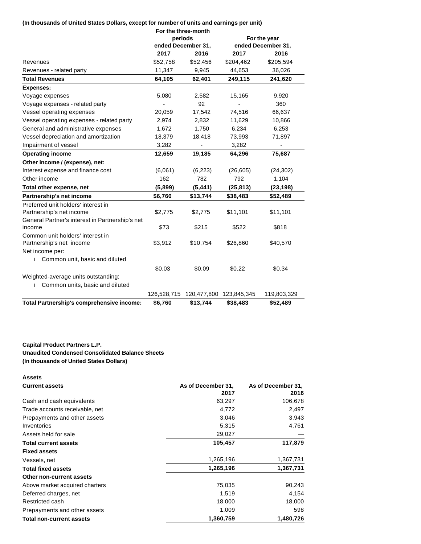# **(In thousands of United States Dollars, except for number of units and earnings per unit)**

|                                                 | For the three-month           |             |                    |             |
|-------------------------------------------------|-------------------------------|-------------|--------------------|-------------|
|                                                 | periods<br>ended December 31, |             | For the year       |             |
|                                                 |                               |             | ended December 31, |             |
|                                                 | 2017                          | 2016        | 2017               | 2016        |
| Revenues                                        | \$52,758                      | \$52,456    | \$204,462          | \$205,594   |
| Revenues - related party                        | 11,347                        | 9,945       | 44,653             | 36,026      |
| <b>Total Revenues</b>                           | 64,105                        | 62,401      | 249,115            | 241,620     |
| <b>Expenses:</b>                                |                               |             |                    |             |
| Voyage expenses                                 | 5,080                         | 2,582       | 15,165             | 9,920       |
| Voyage expenses - related party                 |                               | 92          |                    | 360         |
| Vessel operating expenses                       | 20,059                        | 17,542      | 74,516             | 66,637      |
| Vessel operating expenses - related party       | 2,974                         | 2,832       | 11,629             | 10,866      |
| General and administrative expenses             | 1,672                         | 1,750       | 6,234              | 6,253       |
| Vessel depreciation and amortization            | 18,379                        | 18,418      | 73,993             | 71,897      |
| Impairment of vessel                            | 3,282                         |             | 3,282              |             |
| <b>Operating income</b>                         | 12,659                        | 19,185      | 64,296             | 75,687      |
| Other income / (expense), net:                  |                               |             |                    |             |
| Interest expense and finance cost               | (6,061)                       | (6, 223)    | (26, 605)          | (24, 302)   |
| Other income                                    | 162                           | 782         | 792                | 1,104       |
| Total other expense, net                        | (5,899)                       | (5, 441)    | (25, 813)          | (23, 198)   |
| Partnership's net income                        | \$6,760                       | \$13,744    | \$38,483           | \$52,489    |
| Preferred unit holders' interest in             |                               |             |                    |             |
| Partnership's net income                        | \$2,775                       | \$2,775     | \$11,101           | \$11,101    |
| General Partner's interest in Partnership's net |                               |             |                    |             |
| income                                          | \$73                          | \$215       | \$522              | \$818       |
| Common unit holders' interest in                |                               |             |                    |             |
| Partnership's net income                        | \$3,912                       | \$10,754    | \$26,860           | \$40,570    |
| Net income per:                                 |                               |             |                    |             |
| Common unit, basic and diluted<br>$\mathbf{L}$  |                               |             |                    |             |
|                                                 | \$0.03                        | \$0.09      | \$0.22             | \$0.34      |
| Weighted-average units outstanding:             |                               |             |                    |             |
| Common units, basic and diluted                 |                               |             |                    |             |
|                                                 | 126,528,715                   | 120,477,800 | 123,845,345        | 119,803,329 |
| Total Partnership's comprehensive income:       | \$6,760                       | \$13,744    | \$38,483           | \$52,489    |

# **Capital Product Partners L.P. Unaudited Condensed Consolidated Balance Sheets (In thousands of United States Dollars)**

| <b>Assets</b>                   |                    |                    |
|---------------------------------|--------------------|--------------------|
| <b>Current assets</b>           | As of December 31, | As of December 31, |
|                                 | 2017               | 2016               |
| Cash and cash equivalents       | 63,297             | 106,678            |
| Trade accounts receivable, net  | 4,772              | 2,497              |
| Prepayments and other assets    | 3,046              | 3,943              |
| Inventories                     | 5,315              | 4,761              |
| Assets held for sale            | 29,027             |                    |
| <b>Total current assets</b>     | 105,457            | 117,879            |
| <b>Fixed assets</b>             |                    |                    |
| Vessels, net                    | 1,265,196          | 1,367,731          |
| <b>Total fixed assets</b>       | 1,265,196          | 1,367,731          |
| Other non-current assets        |                    |                    |
| Above market acquired charters  | 75,035             | 90,243             |
| Deferred charges, net           | 1,519              | 4,154              |
| Restricted cash                 | 18,000             | 18,000             |
| Prepayments and other assets    | 1,009              | 598                |
| <b>Total non-current assets</b> | 1,360,759          | 1,480,726          |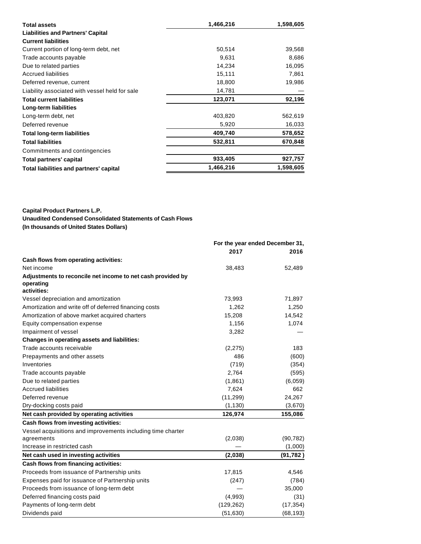| <b>Total assets</b>                            | 1,466,216 | 1,598,605 |
|------------------------------------------------|-----------|-----------|
| <b>Liabilities and Partners' Capital</b>       |           |           |
| <b>Current liabilities</b>                     |           |           |
| Current portion of long-term debt, net         | 50,514    | 39,568    |
| Trade accounts payable                         | 9,631     | 8,686     |
| Due to related parties                         | 14,234    | 16,095    |
| <b>Accrued liabilities</b>                     | 15,111    | 7,861     |
| Deferred revenue, current                      | 18,800    | 19,986    |
| Liability associated with vessel held for sale | 14,781    |           |
| <b>Total current liabilities</b>               | 123,071   | 92,196    |
| Long-term liabilities                          |           |           |
| Long-term debt, net                            | 403,820   | 562,619   |
| Deferred revenue                               | 5,920     | 16,033    |
| <b>Total long-term liabilities</b>             | 409,740   | 578,652   |
| <b>Total liabilities</b>                       | 532,811   | 670,848   |
| Commitments and contingencies                  |           |           |
| Total partners' capital                        | 933,405   | 927,757   |
| Total liabilities and partners' capital        | 1,466,216 | 1,598,605 |

**Capital Product Partners L.P.**

**Unaudited Condensed Consolidated Statements of Cash Flows**

**(In thousands of United States Dollars)**

|                                                                          | For the year ended December 31, |           |
|--------------------------------------------------------------------------|---------------------------------|-----------|
|                                                                          | 2017                            | 2016      |
| Cash flows from operating activities:                                    |                                 |           |
| Net income                                                               | 38,483                          | 52,489    |
| Adjustments to reconcile net income to net cash provided by<br>operating |                                 |           |
| activities:                                                              |                                 |           |
| Vessel depreciation and amortization                                     | 73,993                          | 71,897    |
| Amortization and write off of deferred financing costs                   | 1,262                           | 1,250     |
| Amortization of above market acquired charters                           | 15,208                          | 14,542    |
| Equity compensation expense                                              | 1,156                           | 1,074     |
| Impairment of vessel                                                     | 3,282                           |           |
| Changes in operating assets and liabilities:                             |                                 |           |
| Trade accounts receivable                                                | (2, 275)                        | 183       |
| Prepayments and other assets                                             | 486                             | (600)     |
| Inventories                                                              | (719)                           | (354)     |
| Trade accounts payable                                                   | 2,764                           | (595)     |
| Due to related parties                                                   | (1,861)                         | (6,059)   |
| <b>Accrued liabilities</b>                                               | 7,624                           | 662       |
| Deferred revenue                                                         | (11, 299)                       | 24,267    |
| Dry-docking costs paid                                                   | (1, 130)                        | (3,670)   |
| Net cash provided by operating activities                                | 126,974                         | 155,086   |
| Cash flows from investing activities:                                    |                                 |           |
| Vessel acquisitions and improvements including time charter              |                                 |           |
| agreements                                                               | (2,038)                         | (90, 782) |
| Increase in restricted cash                                              |                                 | (1,000)   |
| Net cash used in investing activities                                    | (2,038)                         | (91, 782) |
| Cash flows from financing activities:                                    |                                 |           |
| Proceeds from issuance of Partnership units                              | 17,815                          | 4,546     |
| Expenses paid for issuance of Partnership units                          | (247)                           | (784)     |
| Proceeds from issuance of long-term debt                                 |                                 | 35,000    |
| Deferred financing costs paid                                            | (4,993)                         | (31)      |
| Payments of long-term debt                                               | (129, 262)                      | (17, 354) |
| Dividends paid                                                           | (51, 630)                       | (68, 193) |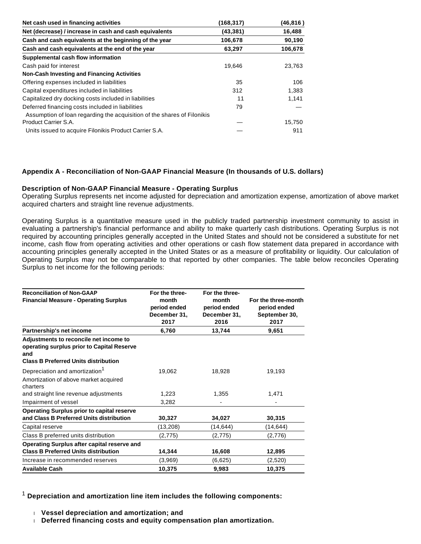| Net cash used in financing activities                                   | (168, 317) | (46,816) |
|-------------------------------------------------------------------------|------------|----------|
| Net (decrease) / increase in cash and cash equivalents                  | (43, 381)  | 16,488   |
| Cash and cash equivalents at the beginning of the year                  | 106,678    | 90,190   |
| Cash and cash equivalents at the end of the year                        | 63,297     | 106,678  |
| Supplemental cash flow information                                      |            |          |
| Cash paid for interest                                                  | 19,646     | 23.763   |
| <b>Non-Cash Investing and Financing Activities</b>                      |            |          |
| Offering expenses included in liabilities                               | 35         | 106      |
| Capital expenditures included in liabilities                            | 312        | 1.383    |
| Capitalized dry docking costs included in liabilities                   | 11         | 1,141    |
| Deferred financing costs included in liabilities                        | 79         |          |
| Assumption of loan regarding the acquisition of the shares of Filonikis |            |          |
| Product Carrier S.A.                                                    |            | 15,750   |
| Units issued to acquire Filonikis Product Carrier S.A.                  |            | 911      |

# **Appendix A - Reconciliation of Non-GAAP Financial Measure (In thousands of U.S. dollars)**

### **Description of Non-GAAP Financial Measure - Operating Surplus**

Operating Surplus represents net income adjusted for depreciation and amortization expense, amortization of above market acquired charters and straight line revenue adjustments.

Operating Surplus is a quantitative measure used in the publicly traded partnership investment community to assist in evaluating a partnership's financial performance and ability to make quarterly cash distributions. Operating Surplus is not required by accounting principles generally accepted in the United States and should not be considered a substitute for net income, cash flow from operating activities and other operations or cash flow statement data prepared in accordance with accounting principles generally accepted in the United States or as a measure of profitability or liquidity. Our calculation of Operating Surplus may not be comparable to that reported by other companies. The table below reconciles Operating Surplus to net income for the following periods:

| <b>Reconciliation of Non-GAAP</b><br><b>Financial Measure - Operating Surplus</b>                                                          | For the three-<br>month<br>period ended<br>December 31,<br>2017 | For the three-<br>month<br>period ended<br>December 31,<br>2016 | For the three-month<br>period ended<br>September 30,<br>2017 |
|--------------------------------------------------------------------------------------------------------------------------------------------|-----------------------------------------------------------------|-----------------------------------------------------------------|--------------------------------------------------------------|
| Partnership's net income                                                                                                                   | 6,760                                                           | 13,744                                                          | 9,651                                                        |
| Adjustments to reconcile net income to<br>operating surplus prior to Capital Reserve<br>and<br><b>Class B Preferred Units distribution</b> |                                                                 |                                                                 |                                                              |
| Depreciation and amortization <sup>1</sup><br>Amortization of above market acquired<br>charters                                            | 19,062                                                          | 18,928                                                          | 19,193                                                       |
| and straight line revenue adjustments                                                                                                      | 1,223                                                           | 1,355                                                           | 1,471                                                        |
| Impairment of vessel                                                                                                                       | 3,282                                                           |                                                                 |                                                              |
| <b>Operating Surplus prior to capital reserve</b><br>and Class B Preferred Units distribution                                              | 30,327                                                          | 34,027                                                          | 30,315                                                       |
| Capital reserve                                                                                                                            | (13,208)                                                        | (14, 644)                                                       | (14,644)                                                     |
| Class B preferred units distribution                                                                                                       | (2,775)                                                         | (2,775)                                                         | (2,776)                                                      |
| Operating Surplus after capital reserve and<br><b>Class B Preferred Units distribution</b>                                                 | 14,344                                                          | 16,608                                                          | 12,895                                                       |
| Increase in recommended reserves                                                                                                           | (3,969)                                                         | (6,625)                                                         | (2,520)                                                      |
| <b>Available Cash</b>                                                                                                                      | 10,375                                                          | 9,983                                                           | 10,375                                                       |

<sup>1</sup> **Depreciation and amortization line item includes the following components:**

**Vessel depreciation and amortization; and**

**Deferred financing costs and equity compensation plan amortization.**